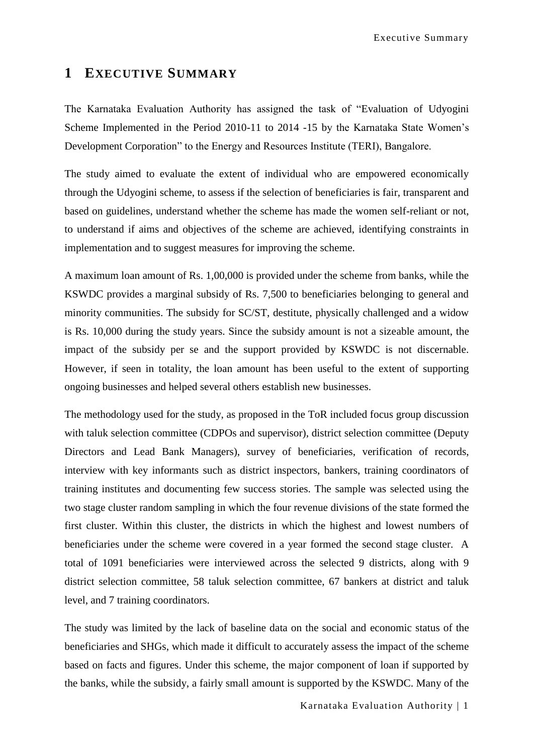Executive Summary

## **1 EXECUTIVE SUMMARY**

The Karnataka Evaluation Authority has assigned the task of "Evaluation of Udyogini Scheme Implemented in the Period 2010-11 to 2014 -15 by the Karnataka State Women"s Development Corporation" to the Energy and Resources Institute (TERI), Bangalore.

The study aimed to evaluate the extent of individual who are empowered economically through the Udyogini scheme, to assess if the selection of beneficiaries is fair, transparent and based on guidelines, understand whether the scheme has made the women self-reliant or not, to understand if aims and objectives of the scheme are achieved, identifying constraints in implementation and to suggest measures for improving the scheme.

A maximum loan amount of Rs. 1,00,000 is provided under the scheme from banks, while the KSWDC provides a marginal subsidy of Rs. 7,500 to beneficiaries belonging to general and minority communities. The subsidy for SC/ST, destitute, physically challenged and a widow is Rs. 10,000 during the study years. Since the subsidy amount is not a sizeable amount, the impact of the subsidy per se and the support provided by KSWDC is not discernable. However, if seen in totality, the loan amount has been useful to the extent of supporting ongoing businesses and helped several others establish new businesses.

The methodology used for the study, as proposed in the ToR included focus group discussion with taluk selection committee (CDPOs and supervisor), district selection committee (Deputy Directors and Lead Bank Managers), survey of beneficiaries, verification of records, interview with key informants such as district inspectors, bankers, training coordinators of training institutes and documenting few success stories. The sample was selected using the two stage cluster random sampling in which the four revenue divisions of the state formed the first cluster. Within this cluster, the districts in which the highest and lowest numbers of beneficiaries under the scheme were covered in a year formed the second stage cluster. A total of 1091 beneficiaries were interviewed across the selected 9 districts, along with 9 district selection committee, 58 taluk selection committee, 67 bankers at district and taluk level, and 7 training coordinators.

The study was limited by the lack of baseline data on the social and economic status of the beneficiaries and SHGs, which made it difficult to accurately assess the impact of the scheme based on facts and figures. Under this scheme, the major component of loan if supported by the banks, while the subsidy, a fairly small amount is supported by the KSWDC. Many of the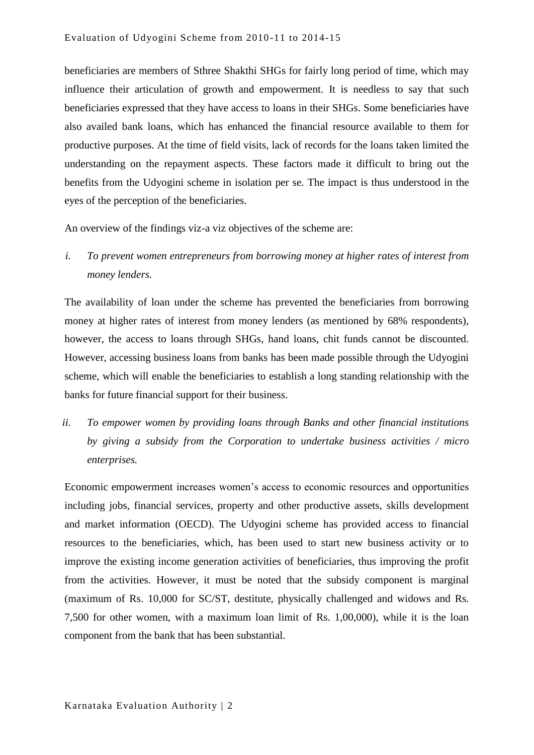beneficiaries are members of Sthree Shakthi SHGs for fairly long period of time, which may influence their articulation of growth and empowerment. It is needless to say that such beneficiaries expressed that they have access to loans in their SHGs. Some beneficiaries have also availed bank loans, which has enhanced the financial resource available to them for productive purposes. At the time of field visits, lack of records for the loans taken limited the understanding on the repayment aspects. These factors made it difficult to bring out the benefits from the Udyogini scheme in isolation per se. The impact is thus understood in the eyes of the perception of the beneficiaries.

An overview of the findings viz-a viz objectives of the scheme are:

*i. To prevent women entrepreneurs from borrowing money at higher rates of interest from money lenders.*

The availability of loan under the scheme has prevented the beneficiaries from borrowing money at higher rates of interest from money lenders (as mentioned by 68% respondents), however, the access to loans through SHGs, hand loans, chit funds cannot be discounted. However, accessing business loans from banks has been made possible through the Udyogini scheme, which will enable the beneficiaries to establish a long standing relationship with the banks for future financial support for their business.

*ii. To empower women by providing loans through Banks and other financial institutions by giving a subsidy from the Corporation to undertake business activities / micro enterprises.*

Economic empowerment increases women's access to economic resources and opportunities including jobs, financial services, property and other productive assets, skills development and market information (OECD). The Udyogini scheme has provided access to financial resources to the beneficiaries, which, has been used to start new business activity or to improve the existing income generation activities of beneficiaries, thus improving the profit from the activities. However, it must be noted that the subsidy component is marginal (maximum of Rs. 10,000 for SC/ST, destitute, physically challenged and widows and Rs. 7,500 for other women, with a maximum loan limit of Rs. 1,00,000), while it is the loan component from the bank that has been substantial.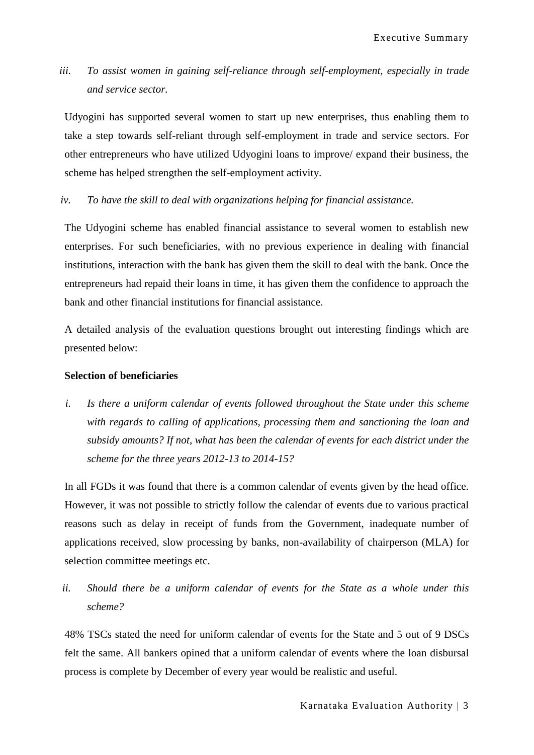*iii. To assist women in gaining self-reliance through self-employment, especially in trade and service sector.*

Udyogini has supported several women to start up new enterprises, thus enabling them to take a step towards self-reliant through self-employment in trade and service sectors. For other entrepreneurs who have utilized Udyogini loans to improve/ expand their business, the scheme has helped strengthen the self-employment activity.

*iv. To have the skill to deal with organizations helping for financial assistance.*

The Udyogini scheme has enabled financial assistance to several women to establish new enterprises. For such beneficiaries, with no previous experience in dealing with financial institutions, interaction with the bank has given them the skill to deal with the bank. Once the entrepreneurs had repaid their loans in time, it has given them the confidence to approach the bank and other financial institutions for financial assistance.

A detailed analysis of the evaluation questions brought out interesting findings which are presented below:

### **Selection of beneficiaries**

*i. Is there a uniform calendar of events followed throughout the State under this scheme with regards to calling of applications, processing them and sanctioning the loan and subsidy amounts? If not, what has been the calendar of events for each district under the scheme for the three years 2012-13 to 2014-15?*

In all FGDs it was found that there is a common calendar of events given by the head office. However, it was not possible to strictly follow the calendar of events due to various practical reasons such as delay in receipt of funds from the Government, inadequate number of applications received, slow processing by banks, non-availability of chairperson (MLA) for selection committee meetings etc.

*ii. Should there be a uniform calendar of events for the State as a whole under this scheme?*

48% TSCs stated the need for uniform calendar of events for the State and 5 out of 9 DSCs felt the same. All bankers opined that a uniform calendar of events where the loan disbursal process is complete by December of every year would be realistic and useful.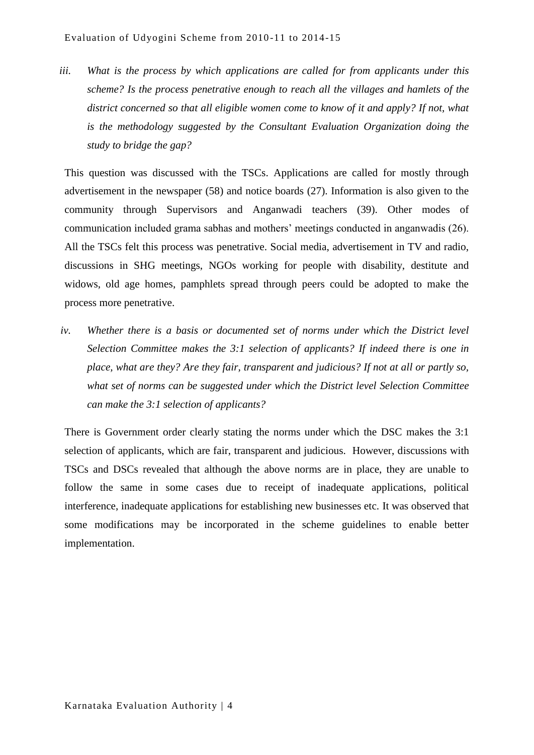*iii. What is the process by which applications are called for from applicants under this scheme? Is the process penetrative enough to reach all the villages and hamlets of the district concerned so that all eligible women come to know of it and apply? If not, what is the methodology suggested by the Consultant Evaluation Organization doing the study to bridge the gap?*

This question was discussed with the TSCs. Applications are called for mostly through advertisement in the newspaper (58) and notice boards (27). Information is also given to the community through Supervisors and Anganwadi teachers (39). Other modes of communication included grama sabhas and mothers" meetings conducted in anganwadis (26). All the TSCs felt this process was penetrative. Social media, advertisement in TV and radio, discussions in SHG meetings, NGOs working for people with disability, destitute and widows, old age homes, pamphlets spread through peers could be adopted to make the process more penetrative.

*iv. Whether there is a basis or documented set of norms under which the District level Selection Committee makes the 3:1 selection of applicants? If indeed there is one in place, what are they? Are they fair, transparent and judicious? If not at all or partly so, what set of norms can be suggested under which the District level Selection Committee can make the 3:1 selection of applicants?*

There is Government order clearly stating the norms under which the DSC makes the 3:1 selection of applicants, which are fair, transparent and judicious. However, discussions with TSCs and DSCs revealed that although the above norms are in place, they are unable to follow the same in some cases due to receipt of inadequate applications, political interference, inadequate applications for establishing new businesses etc. It was observed that some modifications may be incorporated in the scheme guidelines to enable better implementation.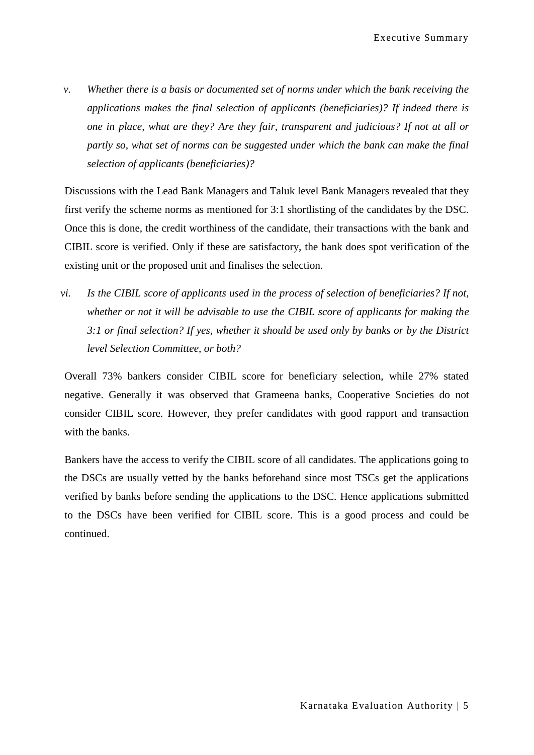*v. Whether there is a basis or documented set of norms under which the bank receiving the applications makes the final selection of applicants (beneficiaries)? If indeed there is one in place, what are they? Are they fair, transparent and judicious? If not at all or partly so, what set of norms can be suggested under which the bank can make the final selection of applicants (beneficiaries)?* 

Discussions with the Lead Bank Managers and Taluk level Bank Managers revealed that they first verify the scheme norms as mentioned for 3:1 shortlisting of the candidates by the DSC. Once this is done, the credit worthiness of the candidate, their transactions with the bank and CIBIL score is verified. Only if these are satisfactory, the bank does spot verification of the existing unit or the proposed unit and finalises the selection.

*vi. Is the CIBIL score of applicants used in the process of selection of beneficiaries? If not, whether or not it will be advisable to use the CIBIL score of applicants for making the 3:1 or final selection? If yes, whether it should be used only by banks or by the District level Selection Committee, or both?*

Overall 73% bankers consider CIBIL score for beneficiary selection, while 27% stated negative. Generally it was observed that Grameena banks, Cooperative Societies do not consider CIBIL score. However, they prefer candidates with good rapport and transaction with the banks.

Bankers have the access to verify the CIBIL score of all candidates. The applications going to the DSCs are usually vetted by the banks beforehand since most TSCs get the applications verified by banks before sending the applications to the DSC. Hence applications submitted to the DSCs have been verified for CIBIL score. This is a good process and could be continued.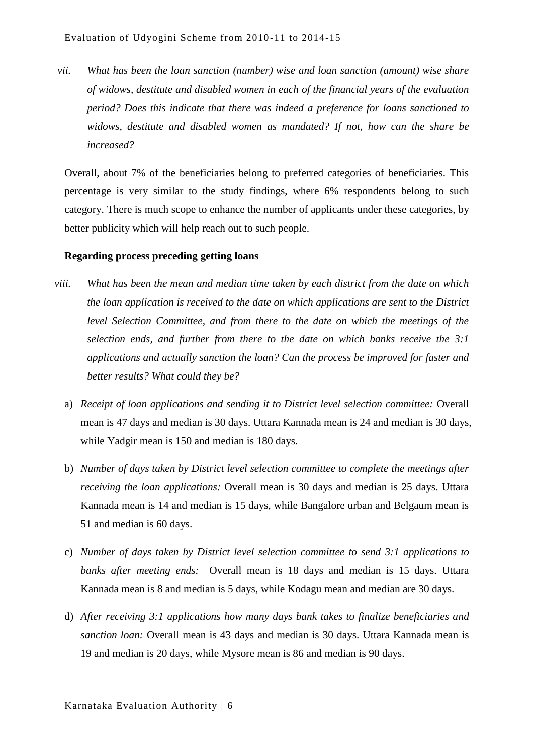*vii. What has been the loan sanction (number) wise and loan sanction (amount) wise share of widows, destitute and disabled women in each of the financial years of the evaluation period? Does this indicate that there was indeed a preference for loans sanctioned to widows, destitute and disabled women as mandated? If not, how can the share be increased?*

Overall, about 7% of the beneficiaries belong to preferred categories of beneficiaries. This percentage is very similar to the study findings, where 6% respondents belong to such category. There is much scope to enhance the number of applicants under these categories, by better publicity which will help reach out to such people.

#### **Regarding process preceding getting loans**

- *viii. What has been the mean and median time taken by each district from the date on which the loan application is received to the date on which applications are sent to the District level Selection Committee, and from there to the date on which the meetings of the selection ends, and further from there to the date on which banks receive the 3:1 applications and actually sanction the loan? Can the process be improved for faster and better results? What could they be?*
	- a) *Receipt of loan applications and sending it to District level selection committee:* Overall mean is 47 days and median is 30 days. Uttara Kannada mean is 24 and median is 30 days, while Yadgir mean is 150 and median is 180 days.
	- b) *Number of days taken by District level selection committee to complete the meetings after receiving the loan applications:* Overall mean is 30 days and median is 25 days. Uttara Kannada mean is 14 and median is 15 days, while Bangalore urban and Belgaum mean is 51 and median is 60 days.
	- c) *Number of days taken by District level selection committee to send 3:1 applications to banks after meeting ends:* Overall mean is 18 days and median is 15 days. Uttara Kannada mean is 8 and median is 5 days, while Kodagu mean and median are 30 days.
	- d) *After receiving 3:1 applications how many days bank takes to finalize beneficiaries and sanction loan:* Overall mean is 43 days and median is 30 days. Uttara Kannada mean is 19 and median is 20 days, while Mysore mean is 86 and median is 90 days.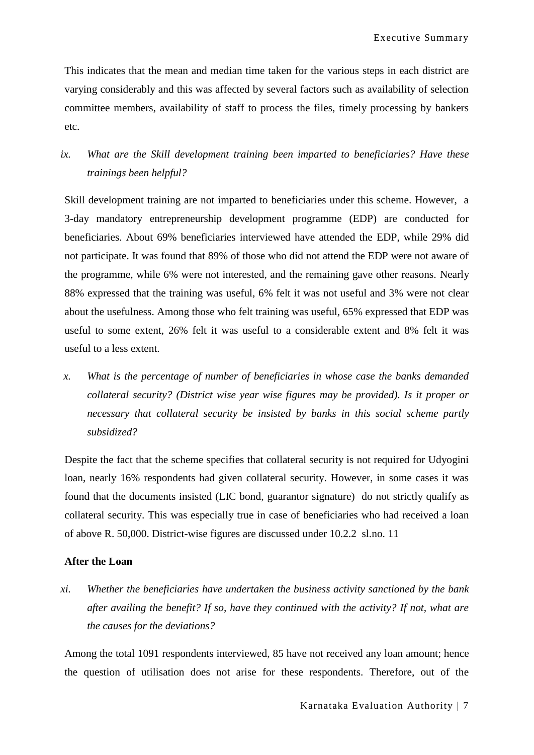This indicates that the mean and median time taken for the various steps in each district are varying considerably and this was affected by several factors such as availability of selection committee members, availability of staff to process the files, timely processing by bankers etc.

# *ix. What are the Skill development training been imparted to beneficiaries? Have these trainings been helpful?*

Skill development training are not imparted to beneficiaries under this scheme. However, a 3-day mandatory entrepreneurship development programme (EDP) are conducted for beneficiaries. About 69% beneficiaries interviewed have attended the EDP, while 29% did not participate. It was found that 89% of those who did not attend the EDP were not aware of the programme, while 6% were not interested, and the remaining gave other reasons. Nearly 88% expressed that the training was useful, 6% felt it was not useful and 3% were not clear about the usefulness. Among those who felt training was useful, 65% expressed that EDP was useful to some extent, 26% felt it was useful to a considerable extent and 8% felt it was useful to a less extent.

*x. What is the percentage of number of beneficiaries in whose case the banks demanded collateral security? (District wise year wise figures may be provided). Is it proper or necessary that collateral security be insisted by banks in this social scheme partly subsidized?*

Despite the fact that the scheme specifies that collateral security is not required for Udyogini loan, nearly 16% respondents had given collateral security. However, in some cases it was found that the documents insisted (LIC bond, guarantor signature) do not strictly qualify as collateral security. This was especially true in case of beneficiaries who had received a loan of above R. 50,000. District-wise figures are discussed under 10.2.2 sl.no. 11

### **After the Loan**

*xi. Whether the beneficiaries have undertaken the business activity sanctioned by the bank after availing the benefit? If so, have they continued with the activity? If not, what are the causes for the deviations?*

Among the total 1091 respondents interviewed, 85 have not received any loan amount; hence the question of utilisation does not arise for these respondents. Therefore, out of the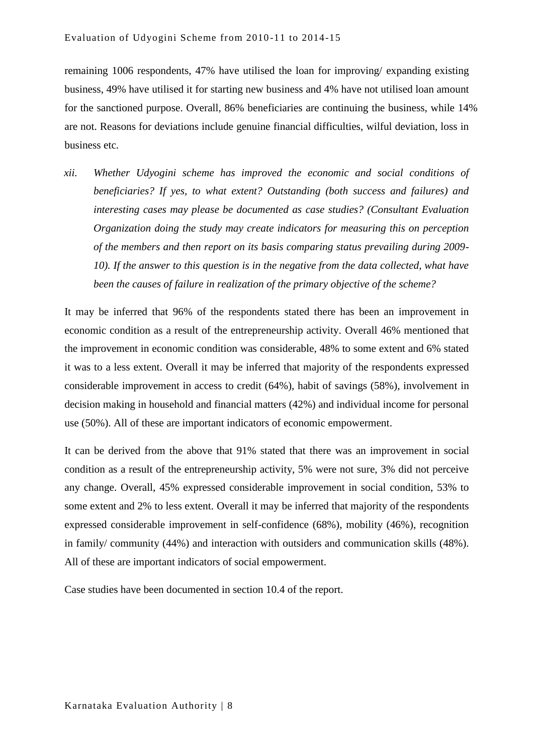remaining 1006 respondents, 47% have utilised the loan for improving/ expanding existing business, 49% have utilised it for starting new business and 4% have not utilised loan amount for the sanctioned purpose. Overall, 86% beneficiaries are continuing the business, while 14% are not. Reasons for deviations include genuine financial difficulties, wilful deviation, loss in business etc.

*xii. Whether Udyogini scheme has improved the economic and social conditions of beneficiaries? If yes, to what extent? Outstanding (both success and failures) and interesting cases may please be documented as case studies? (Consultant Evaluation Organization doing the study may create indicators for measuring this on perception of the members and then report on its basis comparing status prevailing during 2009- 10). If the answer to this question is in the negative from the data collected, what have been the causes of failure in realization of the primary objective of the scheme?*

It may be inferred that 96% of the respondents stated there has been an improvement in economic condition as a result of the entrepreneurship activity. Overall 46% mentioned that the improvement in economic condition was considerable, 48% to some extent and 6% stated it was to a less extent. Overall it may be inferred that majority of the respondents expressed considerable improvement in access to credit (64%), habit of savings (58%), involvement in decision making in household and financial matters (42%) and individual income for personal use (50%). All of these are important indicators of economic empowerment.

It can be derived from the above that 91% stated that there was an improvement in social condition as a result of the entrepreneurship activity, 5% were not sure, 3% did not perceive any change. Overall, 45% expressed considerable improvement in social condition, 53% to some extent and 2% to less extent. Overall it may be inferred that majority of the respondents expressed considerable improvement in self-confidence (68%), mobility (46%), recognition in family/ community (44%) and interaction with outsiders and communication skills (48%). All of these are important indicators of social empowerment.

Case studies have been documented in section 10.4 of the report.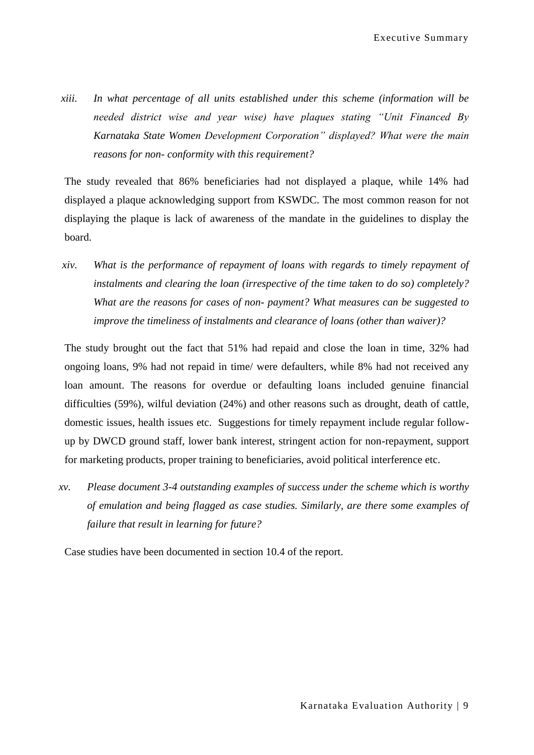*xiii. In what percentage of all units established under this scheme (information will be needed district wise and year wise) have plaques stating "Unit Financed By Karnataka State Women Development Corporation" displayed? What were the main reasons for non- conformity with this requirement?*

The study revealed that 86% beneficiaries had not displayed a plaque, while 14% had displayed a plaque acknowledging support from KSWDC. The most common reason for not displaying the plaque is lack of awareness of the mandate in the guidelines to display the board.

*xiv. What is the performance of repayment of loans with regards to timely repayment of instalments and clearing the loan (irrespective of the time taken to do so) completely? What are the reasons for cases of non- payment? What measures can be suggested to improve the timeliness of instalments and clearance of loans (other than waiver)?*

The study brought out the fact that 51% had repaid and close the loan in time, 32% had ongoing loans, 9% had not repaid in time/ were defaulters, while 8% had not received any loan amount. The reasons for overdue or defaulting loans included genuine financial difficulties (59%), wilful deviation (24%) and other reasons such as drought, death of cattle, domestic issues, health issues etc. Suggestions for timely repayment include regular followup by DWCD ground staff, lower bank interest, stringent action for non-repayment, support for marketing products, proper training to beneficiaries, avoid political interference etc.

*xv. Please document 3-4 outstanding examples of success under the scheme which is worthy of emulation and being flagged as case studies. Similarly, are there some examples of failure that result in learning for future?*

Case studies have been documented in section 10.4 of the report.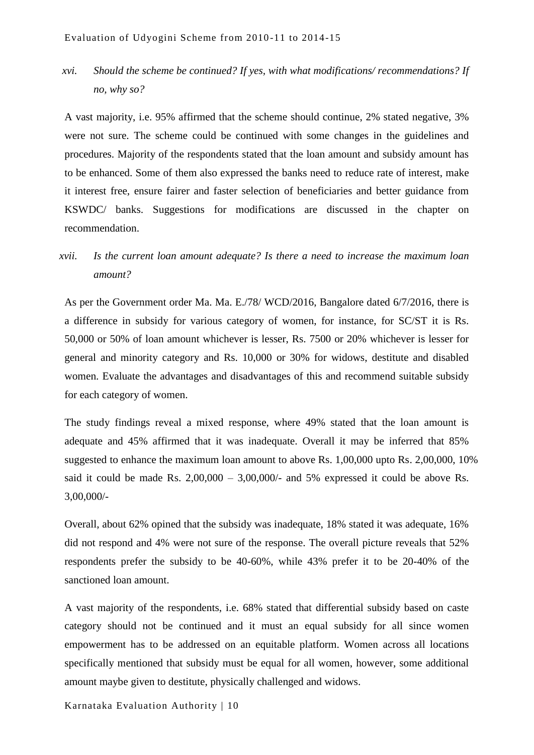*xvi. Should the scheme be continued? If yes, with what modifications/ recommendations? If no, why so?*

A vast majority, i.e. 95% affirmed that the scheme should continue, 2% stated negative, 3% were not sure. The scheme could be continued with some changes in the guidelines and procedures. Majority of the respondents stated that the loan amount and subsidy amount has to be enhanced. Some of them also expressed the banks need to reduce rate of interest, make it interest free, ensure fairer and faster selection of beneficiaries and better guidance from KSWDC/ banks. Suggestions for modifications are discussed in the chapter on recommendation.

## *xvii. Is the current loan amount adequate? Is there a need to increase the maximum loan amount?*

As per the Government order Ma. Ma. E./78/ WCD/2016, Bangalore dated 6/7/2016, there is a difference in subsidy for various category of women, for instance, for SC/ST it is Rs. 50,000 or 50% of loan amount whichever is lesser, Rs. 7500 or 20% whichever is lesser for general and minority category and Rs. 10,000 or 30% for widows, destitute and disabled women. Evaluate the advantages and disadvantages of this and recommend suitable subsidy for each category of women.

The study findings reveal a mixed response, where 49% stated that the loan amount is adequate and 45% affirmed that it was inadequate. Overall it may be inferred that 85% suggested to enhance the maximum loan amount to above Rs. 1,00,000 upto Rs. 2,00,000, 10% said it could be made Rs.  $2,00,000 - 3,00,000/4$  and 5% expressed it could be above Rs. 3,00,000/-

Overall, about 62% opined that the subsidy was inadequate, 18% stated it was adequate, 16% did not respond and 4% were not sure of the response. The overall picture reveals that 52% respondents prefer the subsidy to be 40-60%, while 43% prefer it to be 20-40% of the sanctioned loan amount.

A vast majority of the respondents, i.e. 68% stated that differential subsidy based on caste category should not be continued and it must an equal subsidy for all since women empowerment has to be addressed on an equitable platform. Women across all locations specifically mentioned that subsidy must be equal for all women, however, some additional amount maybe given to destitute, physically challenged and widows.

Karnataka Evaluation Authority | 10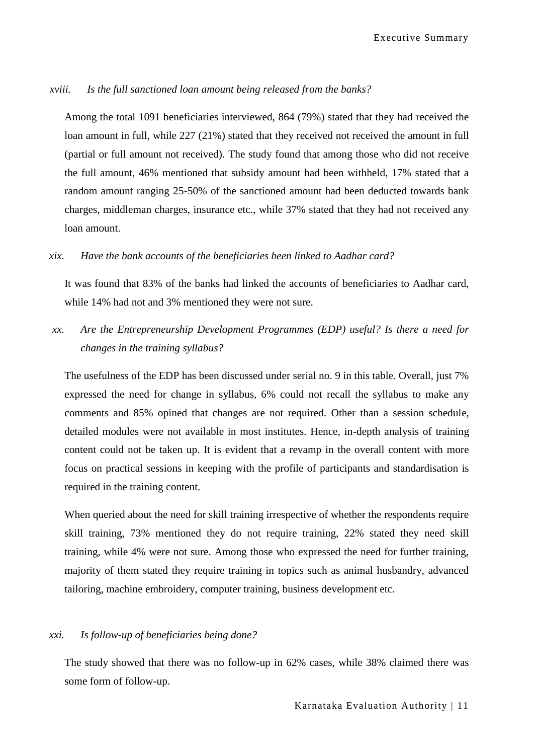#### *xviii. Is the full sanctioned loan amount being released from the banks?*

Among the total 1091 beneficiaries interviewed, 864 (79%) stated that they had received the loan amount in full, while 227 (21%) stated that they received not received the amount in full (partial or full amount not received). The study found that among those who did not receive the full amount, 46% mentioned that subsidy amount had been withheld, 17% stated that a random amount ranging 25-50% of the sanctioned amount had been deducted towards bank charges, middleman charges, insurance etc., while 37% stated that they had not received any loan amount.

#### *xix. Have the bank accounts of the beneficiaries been linked to Aadhar card?*

It was found that 83% of the banks had linked the accounts of beneficiaries to Aadhar card, while 14% had not and 3% mentioned they were not sure.

*xx. Are the Entrepreneurship Development Programmes (EDP) useful? Is there a need for changes in the training syllabus?*

The usefulness of the EDP has been discussed under serial no. 9 in this table. Overall, just 7% expressed the need for change in syllabus, 6% could not recall the syllabus to make any comments and 85% opined that changes are not required. Other than a session schedule, detailed modules were not available in most institutes. Hence, in-depth analysis of training content could not be taken up. It is evident that a revamp in the overall content with more focus on practical sessions in keeping with the profile of participants and standardisation is required in the training content.

When queried about the need for skill training irrespective of whether the respondents require skill training, 73% mentioned they do not require training, 22% stated they need skill training, while 4% were not sure. Among those who expressed the need for further training, majority of them stated they require training in topics such as animal husbandry, advanced tailoring, machine embroidery, computer training, business development etc.

### *xxi. Is follow-up of beneficiaries being done?*

The study showed that there was no follow-up in 62% cases, while 38% claimed there was some form of follow-up.